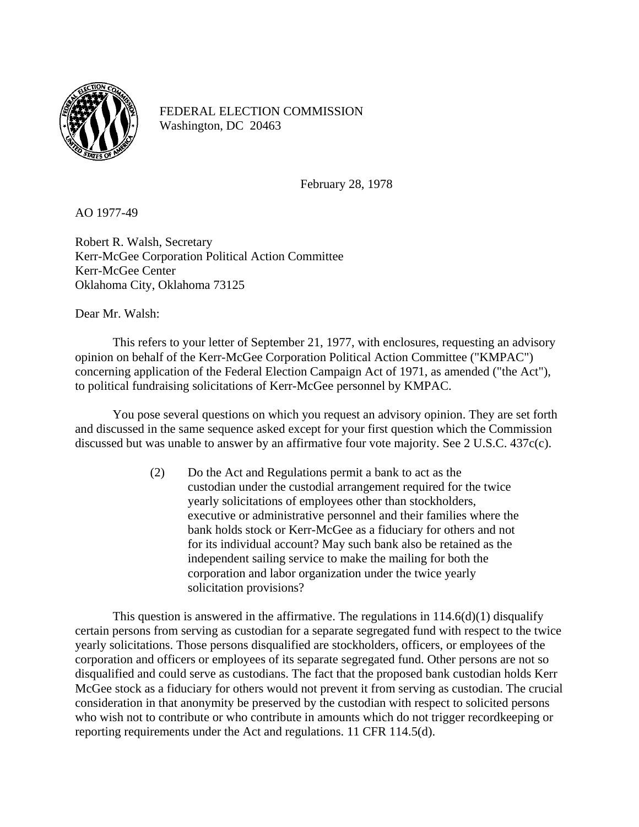

FEDERAL ELECTION COMMISSION Washington, DC 20463

February 28, 1978

AO 1977-49

Robert R. Walsh, Secretary Kerr-McGee Corporation Political Action Committee Kerr-McGee Center Oklahoma City, Oklahoma 73125

Dear Mr. Walsh:

This refers to your letter of September 21, 1977, with enclosures, requesting an advisory opinion on behalf of the Kerr-McGee Corporation Political Action Committee ("KMPAC") concerning application of the Federal Election Campaign Act of 1971, as amended ("the Act"), to political fundraising solicitations of Kerr-McGee personnel by KMPAC.

You pose several questions on which you request an advisory opinion. They are set forth and discussed in the same sequence asked except for your first question which the Commission discussed but was unable to answer by an affirmative four vote majority. See 2 U.S.C. 437c(c).

> (2) Do the Act and Regulations permit a bank to act as the custodian under the custodial arrangement required for the twice yearly solicitations of employees other than stockholders, executive or administrative personnel and their families where the bank holds stock or Kerr-McGee as a fiduciary for others and not for its individual account? May such bank also be retained as the independent sailing service to make the mailing for both the corporation and labor organization under the twice yearly solicitation provisions?

This question is answered in the affirmative. The regulations in  $114.6(d)(1)$  disqualify certain persons from serving as custodian for a separate segregated fund with respect to the twice yearly solicitations. Those persons disqualified are stockholders, officers, or employees of the corporation and officers or employees of its separate segregated fund. Other persons are not so disqualified and could serve as custodians. The fact that the proposed bank custodian holds Kerr McGee stock as a fiduciary for others would not prevent it from serving as custodian. The crucial consideration in that anonymity be preserved by the custodian with respect to solicited persons who wish not to contribute or who contribute in amounts which do not trigger recordkeeping or reporting requirements under the Act and regulations. 11 CFR 114.5(d).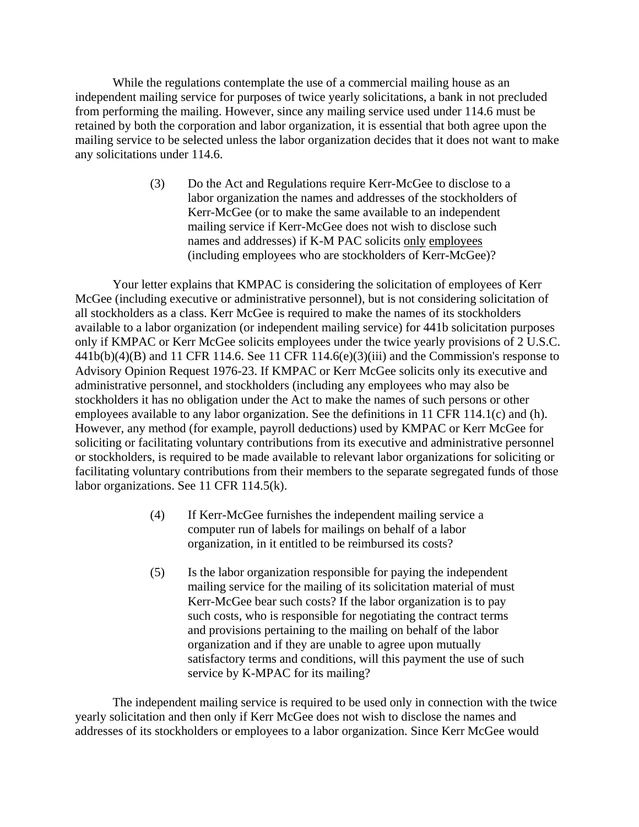While the regulations contemplate the use of a commercial mailing house as an independent mailing service for purposes of twice yearly solicitations, a bank in not precluded from performing the mailing. However, since any mailing service used under 114.6 must be retained by both the corporation and labor organization, it is essential that both agree upon the mailing service to be selected unless the labor organization decides that it does not want to make any solicitations under 114.6.

> (3) Do the Act and Regulations require Kerr-McGee to disclose to a labor organization the names and addresses of the stockholders of Kerr-McGee (or to make the same available to an independent mailing service if Kerr-McGee does not wish to disclose such names and addresses) if K-M PAC solicits only employees (including employees who are stockholders of Kerr-McGee)?

Your letter explains that KMPAC is considering the solicitation of employees of Kerr McGee (including executive or administrative personnel), but is not considering solicitation of all stockholders as a class. Kerr McGee is required to make the names of its stockholders available to a labor organization (or independent mailing service) for 441b solicitation purposes only if KMPAC or Kerr McGee solicits employees under the twice yearly provisions of 2 U.S.C.  $441b(b)(4)(B)$  and 11 CFR 114.6. See 11 CFR 114.6(e)(3)(iii) and the Commission's response to Advisory Opinion Request 1976-23. If KMPAC or Kerr McGee solicits only its executive and administrative personnel, and stockholders (including any employees who may also be stockholders it has no obligation under the Act to make the names of such persons or other employees available to any labor organization. See the definitions in 11 CFR 114.1(c) and (h). However, any method (for example, payroll deductions) used by KMPAC or Kerr McGee for soliciting or facilitating voluntary contributions from its executive and administrative personnel or stockholders, is required to be made available to relevant labor organizations for soliciting or facilitating voluntary contributions from their members to the separate segregated funds of those labor organizations. See 11 CFR 114.5(k).

- (4) If Kerr-McGee furnishes the independent mailing service a computer run of labels for mailings on behalf of a labor organization, in it entitled to be reimbursed its costs?
- (5) Is the labor organization responsible for paying the independent mailing service for the mailing of its solicitation material of must Kerr-McGee bear such costs? If the labor organization is to pay such costs, who is responsible for negotiating the contract terms and provisions pertaining to the mailing on behalf of the labor organization and if they are unable to agree upon mutually satisfactory terms and conditions, will this payment the use of such service by K-MPAC for its mailing?

The independent mailing service is required to be used only in connection with the twice yearly solicitation and then only if Kerr McGee does not wish to disclose the names and addresses of its stockholders or employees to a labor organization. Since Kerr McGee would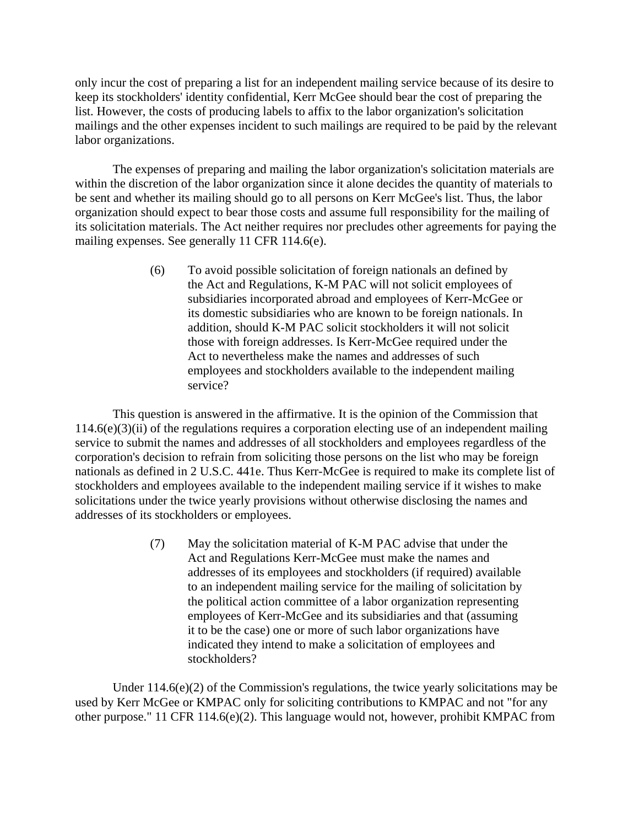only incur the cost of preparing a list for an independent mailing service because of its desire to keep its stockholders' identity confidential, Kerr McGee should bear the cost of preparing the list. However, the costs of producing labels to affix to the labor organization's solicitation mailings and the other expenses incident to such mailings are required to be paid by the relevant labor organizations.

The expenses of preparing and mailing the labor organization's solicitation materials are within the discretion of the labor organization since it alone decides the quantity of materials to be sent and whether its mailing should go to all persons on Kerr McGee's list. Thus, the labor organization should expect to bear those costs and assume full responsibility for the mailing of its solicitation materials. The Act neither requires nor precludes other agreements for paying the mailing expenses. See generally 11 CFR 114.6(e).

> (6) To avoid possible solicitation of foreign nationals an defined by the Act and Regulations, K-M PAC will not solicit employees of subsidiaries incorporated abroad and employees of Kerr-McGee or its domestic subsidiaries who are known to be foreign nationals. In addition, should K-M PAC solicit stockholders it will not solicit those with foreign addresses. Is Kerr-McGee required under the Act to nevertheless make the names and addresses of such employees and stockholders available to the independent mailing service?

This question is answered in the affirmative. It is the opinion of the Commission that  $114.6(e)(3)(ii)$  of the regulations requires a corporation electing use of an independent mailing service to submit the names and addresses of all stockholders and employees regardless of the corporation's decision to refrain from soliciting those persons on the list who may be foreign nationals as defined in 2 U.S.C. 441e. Thus Kerr-McGee is required to make its complete list of stockholders and employees available to the independent mailing service if it wishes to make solicitations under the twice yearly provisions without otherwise disclosing the names and addresses of its stockholders or employees.

> (7) May the solicitation material of K-M PAC advise that under the Act and Regulations Kerr-McGee must make the names and addresses of its employees and stockholders (if required) available to an independent mailing service for the mailing of solicitation by the political action committee of a labor organization representing employees of Kerr-McGee and its subsidiaries and that (assuming it to be the case) one or more of such labor organizations have indicated they intend to make a solicitation of employees and stockholders?

Under  $114.6(e)(2)$  of the Commission's regulations, the twice yearly solicitations may be used by Kerr McGee or KMPAC only for soliciting contributions to KMPAC and not "for any other purpose." 11 CFR 114.6(e)(2). This language would not, however, prohibit KMPAC from